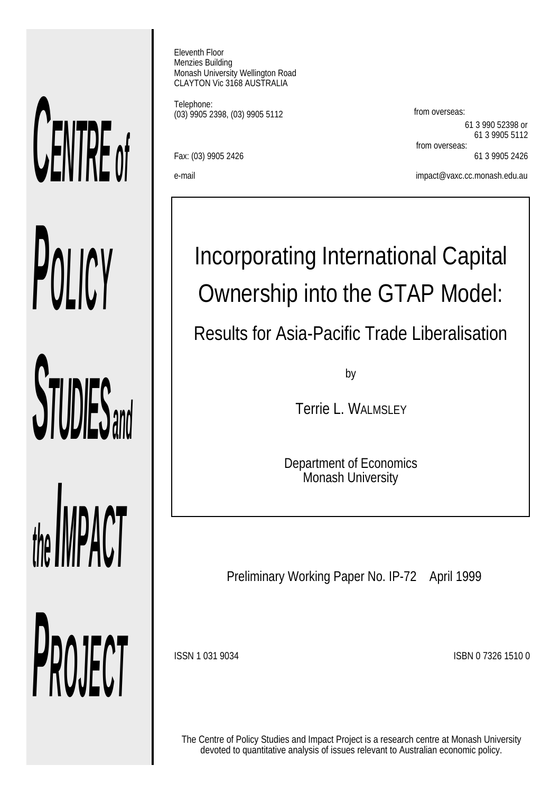# *CENTRE of POLICY STUDIES and the IMPACT PROJECT*

Eleventh Floor Menzies Building Monash University Wellington Road CLAYTON Vic 3168 AUSTRALIA

Telephone: (03) 9905 2398, (03) 9905 5112 from overseas:

Fax: (03) 9905 2426 61 3 9905 2426

61 3 990 52398 or 61 3 9905 5112 from overseas:

e-mail impact@vaxc.cc.monash.edu.au

# Incorporating International Capital Ownership into the GTAP Model:

Results for Asia-Pacific Trade Liberalisation

by

Terrie L. WALMSLEY

Department of Economics Monash University

Preliminary Working Paper No. IP-72 April 1999

ISSN 1 031 9034 ISBN 0 7326 1510 0

The Centre of Policy Studies and Impact Project is a research centre at Monash University devoted to quantitative analysis of issues relevant to Australian economic policy.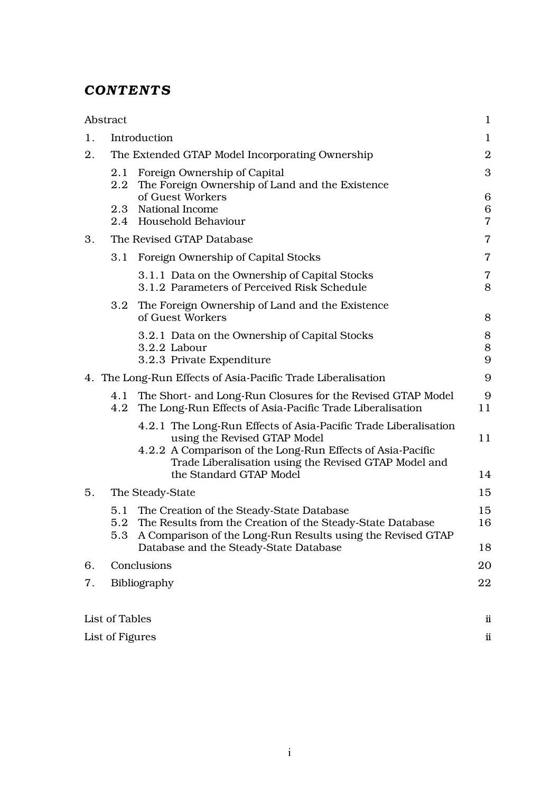# *CONTENTS*

|    | Abstract        |                                                                                                                                                                                                                                                   | 1                        |
|----|-----------------|---------------------------------------------------------------------------------------------------------------------------------------------------------------------------------------------------------------------------------------------------|--------------------------|
| 1. |                 | Introduction                                                                                                                                                                                                                                      | $\mathbf{1}$             |
| 2. |                 | The Extended GTAP Model Incorporating Ownership                                                                                                                                                                                                   | $\mathbf{2}$             |
|    | $2.2\,$         | 2.1 Foreign Ownership of Capital<br>The Foreign Ownership of Land and the Existence                                                                                                                                                               | 3                        |
|    |                 | of Guest Workers<br>2.3 National Income<br>2.4 Household Behaviour                                                                                                                                                                                | 6<br>6<br>$\overline{7}$ |
| 3. |                 | The Revised GTAP Database                                                                                                                                                                                                                         | $\overline{7}$           |
|    | 3.1             | Foreign Ownership of Capital Stocks                                                                                                                                                                                                               | $\overline{7}$           |
|    |                 | 3.1.1 Data on the Ownership of Capital Stocks<br>3.1.2 Parameters of Perceived Risk Schedule                                                                                                                                                      | $\overline{7}$<br>8      |
|    | 3.2             | The Foreign Ownership of Land and the Existence<br>of Guest Workers                                                                                                                                                                               | 8                        |
|    |                 | 3.2.1 Data on the Ownership of Capital Stocks<br>3.2.2 Labour<br>3.2.3 Private Expenditure                                                                                                                                                        | 8<br>$\,8\,$<br>9        |
|    |                 | 4. The Long-Run Effects of Asia-Pacific Trade Liberalisation                                                                                                                                                                                      | 9                        |
|    | 4.1<br>4.2      | The Short- and Long-Run Closures for the Revised GTAP Model<br>The Long-Run Effects of Asia-Pacific Trade Liberalisation                                                                                                                          | 9<br>11                  |
|    |                 | 4.2.1 The Long-Run Effects of Asia-Pacific Trade Liberalisation<br>using the Revised GTAP Model<br>4.2.2 A Comparison of the Long-Run Effects of Asia-Pacific<br>Trade Liberalisation using the Revised GTAP Model and<br>the Standard GTAP Model | 11<br>14                 |
| 5. |                 | The Steady-State                                                                                                                                                                                                                                  | 15                       |
|    |                 | 5.1 The Creation of the Steady-State Database<br>5.2 The Results from the Creation of the Steady-State Database<br>5.3 A Comparison of the Long-Run Results using the Revised GTAP                                                                | 15<br>16                 |
|    |                 | Database and the Steady-State Database                                                                                                                                                                                                            | 18                       |
| 6. |                 | Conclusions                                                                                                                                                                                                                                       | 20                       |
| 7. |                 | Bibliography                                                                                                                                                                                                                                      | 22                       |
|    | List of Tables  |                                                                                                                                                                                                                                                   | ii                       |
|    | List of Figures |                                                                                                                                                                                                                                                   | ii                       |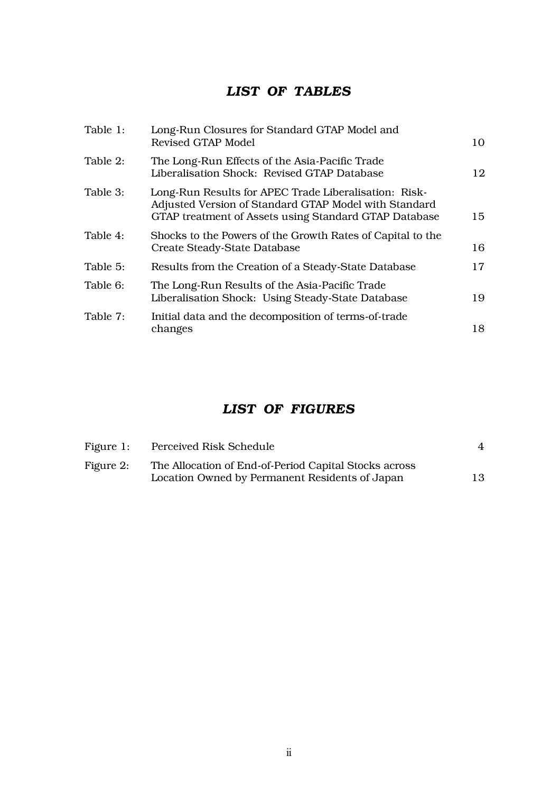# *LIST OF TABLES*

| Table 1: | Long-Run Closures for Standard GTAP Model and<br>Revised GTAP Model                                                                                                     | 10 |
|----------|-------------------------------------------------------------------------------------------------------------------------------------------------------------------------|----|
| Table 2: | The Long-Run Effects of the Asia-Pacific Trade<br>Liberalisation Shock: Revised GTAP Database                                                                           | 12 |
| Table 3: | Long-Run Results for APEC Trade Liberalisation: Risk-<br>Adjusted Version of Standard GTAP Model with Standard<br>GTAP treatment of Assets using Standard GTAP Database | 15 |
| Table 4: | Shocks to the Powers of the Growth Rates of Capital to the<br>Create Steady-State Database                                                                              | 16 |
| Table 5: | Results from the Creation of a Steady-State Database                                                                                                                    | 17 |
| Table 6: | The Long-Run Results of the Asia-Pacific Trade<br>Liberalisation Shock: Using Steady-State Database                                                                     | 19 |
| Table 7: | Initial data and the decomposition of terms-of-trade<br>changes                                                                                                         | 18 |

# *LIST OF FIGURES*

| Figure 1: | Perceived Risk Schedule                               |    |
|-----------|-------------------------------------------------------|----|
| Figure 2: | The Allocation of End-of-Period Capital Stocks across |    |
|           | Location Owned by Permanent Residents of Japan        | 13 |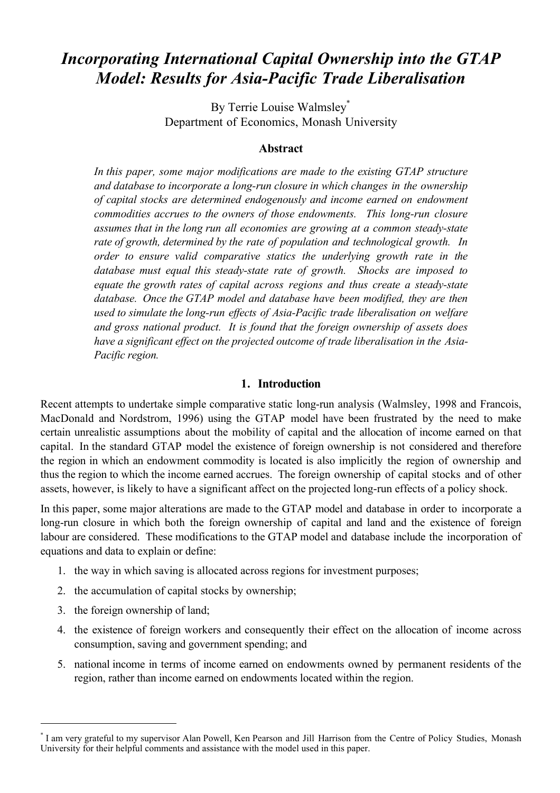# *Incorporating International Capital Ownership into the GTAP Model: Results for Asia-Pacific Trade Liberalisation*

By Terrie Louise Walmsley\* Department of Economics, Monash University

#### **Abstract**

*In this paper, some major modifications are made to the existing GTAP structure and database to incorporate a long-run closure in which changes in the ownership of capital stocks are determined endogenously and income earned on endowment commodities accrues to the owners of those endowments. This long-run closure assumes that in the long run all economies are growing at a common steady-state rate of growth, determined by the rate of population and technological growth. In order to ensure valid comparative statics the underlying growth rate in the database must equal this steady-state rate of growth. Shocks are imposed to equate the growth rates of capital across regions and thus create a steady-state database. Once the GTAP model and database have been modified, they are then used to simulate the long-run effects of Asia-Pacific trade liberalisation on welfare and gross national product. It is found that the foreign ownership of assets does have a significant effect on the projected outcome of trade liberalisation in the Asia-Pacific region.*

#### **1. Introduction**

Recent attempts to undertake simple comparative static long-run analysis (Walmsley, 1998 and Francois, MacDonald and Nordstrom, 1996) using the GTAP model have been frustrated by the need to make certain unrealistic assumptions about the mobility of capital and the allocation of income earned on that capital. In the standard GTAP model the existence of foreign ownership is not considered and therefore the region in which an endowment commodity is located is also implicitly the region of ownership and thus the region to which the income earned accrues. The foreign ownership of capital stocks and of other assets, however, is likely to have a significant affect on the projected long-run effects of a policy shock.

In this paper, some major alterations are made to the GTAP model and database in order to incorporate a long-run closure in which both the foreign ownership of capital and land and the existence of foreign labour are considered. These modifications to the GTAP model and database include the incorporation of equations and data to explain or define:

- 1. the way in which saving is allocated across regions for investment purposes;
- 2. the accumulation of capital stocks by ownership;
- 3. the foreign ownership of land;

- 4. the existence of foreign workers and consequently their effect on the allocation of income across consumption, saving and government spending; and
- 5. national income in terms of income earned on endowments owned by permanent residents of the region, rather than income earned on endowments located within the region.

<sup>\*</sup> I am very grateful to my supervisor Alan Powell, Ken Pearson and Jill Harrison from the Centre of Policy Studies, Monash University for their helpful comments and assistance with the model used in this paper.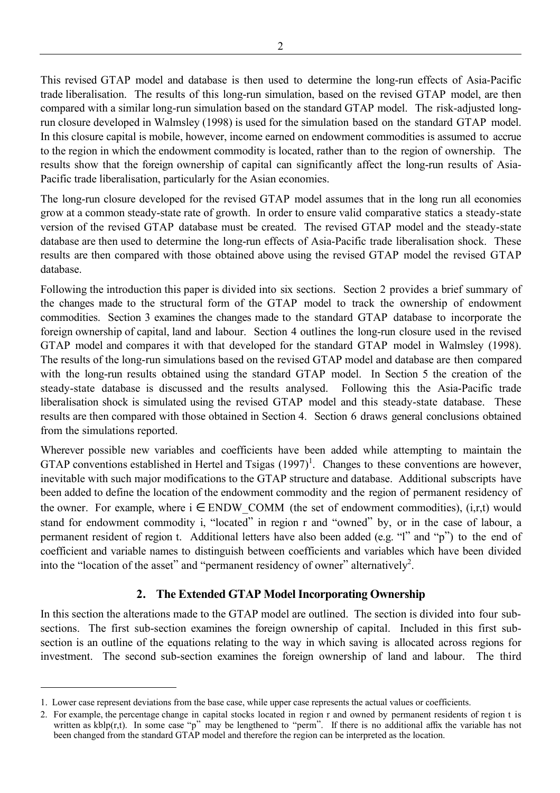This revised GTAP model and database is then used to determine the long-run effects of Asia-Pacific trade liberalisation. The results of this long-run simulation, based on the revised GTAP model, are then compared with a similar long-run simulation based on the standard GTAP model. The risk-adjusted longrun closure developed in Walmsley (1998) is used for the simulation based on the standard GTAP model. In this closure capital is mobile, however, income earned on endowment commodities is assumed to accrue to the region in which the endowment commodity is located, rather than to the region of ownership. The results show that the foreign ownership of capital can significantly affect the long-run results of Asia-Pacific trade liberalisation, particularly for the Asian economies.

The long-run closure developed for the revised GTAP model assumes that in the long run all economies grow at a common steady-state rate of growth. In order to ensure valid comparative statics a steady-state version of the revised GTAP database must be created. The revised GTAP model and the steady-state database are then used to determine the long-run effects of Asia-Pacific trade liberalisation shock. These results are then compared with those obtained above using the revised GTAP model the revised GTAP database.

Following the introduction this paper is divided into six sections. Section 2 provides a brief summary of the changes made to the structural form of the GTAP model to track the ownership of endowment commodities. Section 3 examines the changes made to the standard GTAP database to incorporate the foreign ownership of capital, land and labour. Section 4 outlines the long-run closure used in the revised GTAP model and compares it with that developed for the standard GTAP model in Walmsley (1998). The results of the long-run simulations based on the revised GTAP model and database are then compared with the long-run results obtained using the standard GTAP model. In Section 5 the creation of the steady-state database is discussed and the results analysed. Following this the Asia-Pacific trade liberalisation shock is simulated using the revised GTAP model and this steady-state database. These results are then compared with those obtained in Section 4. Section 6 draws general conclusions obtained from the simulations reported.

Wherever possible new variables and coefficients have been added while attempting to maintain the GTAP conventions established in Hertel and Tsigas  $(1997)^1$ . Changes to these conventions are however, inevitable with such major modifications to the GTAP structure and database. Additional subscripts have been added to define the location of the endowment commodity and the region of permanent residency of the owner. For example, where  $i \in$  ENDW COMM (the set of endowment commodities), (i,r,t) would stand for endowment commodity i, "located" in region r and "owned" by, or in the case of labour, a permanent resident of region t. Additional letters have also been added (e.g. "l" and "p") to the end of coefficient and variable names to distinguish between coefficients and variables which have been divided into the "location of the asset" and "permanent residency of owner" alternatively<sup>2</sup>.

# **2. The Extended GTAP Model Incorporating Ownership**

In this section the alterations made to the GTAP model are outlined. The section is divided into four subsections. The first sub-section examines the foreign ownership of capital. Included in this first subsection is an outline of the equations relating to the way in which saving is allocated across regions for investment. The second sub-section examines the foreign ownership of land and labour. The third

<sup>1.</sup> Lower case represent deviations from the base case, while upper case represents the actual values or coefficients.

<sup>2.</sup> For example, the percentage change in capital stocks located in region r and owned by permanent residents of region t is written as kblp(r,t). In some case "p" may be lengthened to "perm". If there is no additional affix the variable has not been changed from the standard GTAP model and therefore the region can be interpreted as the location.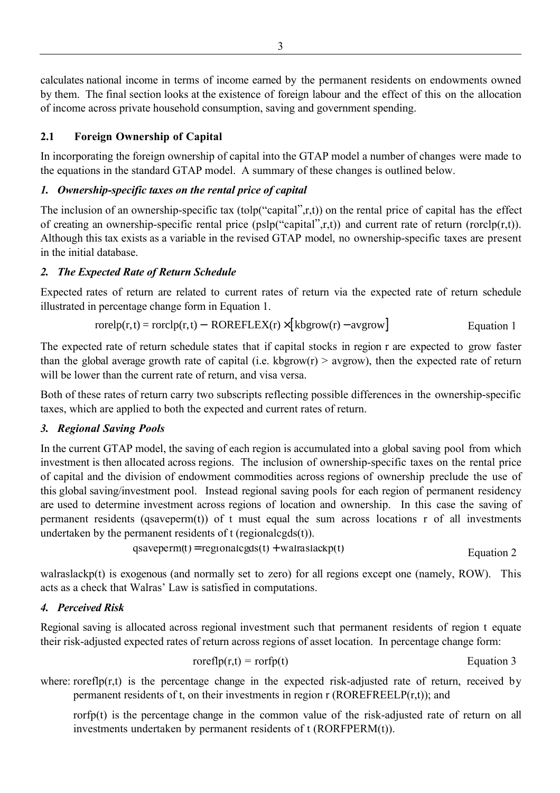calculates national income in terms of income earned by the permanent residents on endowments owned by them. The final section looks at the existence of foreign labour and the effect of this on the allocation of income across private household consumption, saving and government spending.

#### **2.1 Foreign Ownership of Capital**

In incorporating the foreign ownership of capital into the GTAP model a number of changes were made to the equations in the standard GTAP model. A summary of these changes is outlined below.

#### *1. Ownership-specific taxes on the rental price of capital*

The inclusion of an ownership-specific tax (tolp("capital",r,t)) on the rental price of capital has the effect of creating an ownership-specific rental price (pslp("capital",r,t)) and current rate of return (rorclp(r,t)). Although this tax exists as a variable in the revised GTAP model, no ownership-specific taxes are present in the initial database.

#### *2. The Expected Rate of Return Schedule*

Expected rates of return are related to current rates of return via the expected rate of return schedule illustrated in percentage change form in Equation 1.

$$
rorelp(r,t) = rorelp(r,t) - ROREFLEX(r) \times [kbgrow(r) - avgrow]
$$
 *Equation 1*

The expected rate of return schedule states that if capital stocks in region r are expected to grow faster than the global average growth rate of capital (i.e. kbgrow(r)  $>$  avgrow), then the expected rate of return will be lower than the current rate of return, and visa versa.

Both of these rates of return carry two subscripts reflecting possible differences in the ownership-specific taxes, which are applied to both the expected and current rates of return.

# *3. Regional Saving Pools*

In the current GTAP model, the saving of each region is accumulated into a global saving pool from which investment is then allocated across regions. The inclusion of ownership-specific taxes on the rental price of capital and the division of endowment commodities across regions of ownership preclude the use of this global saving/investment pool. Instead regional saving pools for each region of permanent residency are used to determine investment across regions of location and ownership. In this case the saving of permanent residents (qsaveperm(t)) of t must equal the sum across locations r of all investments undertaken by the permanent residents of t (regionalcgds(t)).

$$
qsaveperm(t) = regionalcgds(t) + walraslackp(t)
$$
 Equation 2

walraslackp(t) is exogenous (and normally set to zero) for all regions except one (namely, ROW). This acts as a check that Walras' Law is satisfied in computations.

# *4. Perceived Risk*

Regional saving is allocated across regional investment such that permanent residents of region t equate their risk-adjusted expected rates of return across regions of asset location. In percentage change form:

$$
roreflp(r,t) = rorfp(t)
$$
  $Equation 3$ 

where: rorefl $p(r,t)$  is the percentage change in the expected risk-adjusted rate of return, received by permanent residents of t, on their investments in region  $r$  (ROREFREELP $(r,t)$ ); and

rorfp(t) is the percentage change in the common value of the risk-adjusted rate of return on all investments undertaken by permanent residents of t (RORFPERM(t)).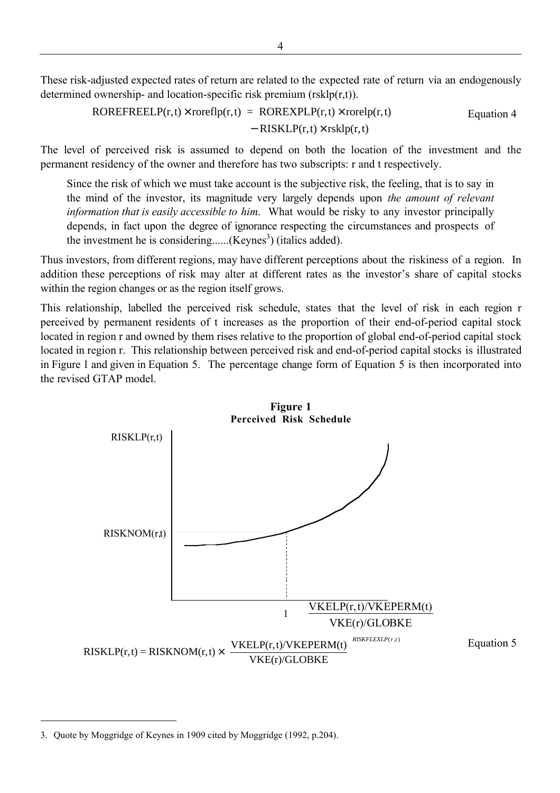These risk-adjusted expected rates of return are related to the expected rate of return via an endogenously determined ownership- and location-specific risk premium (rskl $p(r,t)$ ).

ROREFREELP(r,t) roreflp(r,t) = ROREXPLP(r,t) rorelp(r,t) RISKLP(r,t) rsklp(r,t) × × − × Equation 4

The level of perceived risk is assumed to depend on both the location of the investment and the permanent residency of the owner and therefore has two subscripts: r and t respectively.

Since the risk of which we must take account is the subjective risk, the feeling, that is to say in the mind of the investor, its magnitude very largely depends upon *the amount of relevant information that is easily accessible to him*. What would be risky to any investor principally depends, in fact upon the degree of ignorance respecting the circumstances and prospects of the investment he is considering...... $(Keynes<sup>3</sup>)$  (italics added).

Thus investors, from different regions, may have different perceptions about the riskiness of a region. In addition these perceptions of risk may alter at different rates as the investor's share of capital stocks within the region changes or as the region itself grows.

This relationship, labelled the perceived risk schedule, states that the level of risk in each region r perceived by permanent residents of t increases as the proportion of their end-of-period capital stock located in region r and owned by them rises relative to the proportion of global end-of-period capital stock located in region r. This relationship between perceived risk and end-of-period capital stocks is illustrated in Figure 1 and given in Equation 5. The percentage change form of Equation 5 is then incorporated into the revised GTAP model.



<sup>3.</sup> Quote by Moggridge of Keynes in 1909 cited by Moggridge (1992, p.204).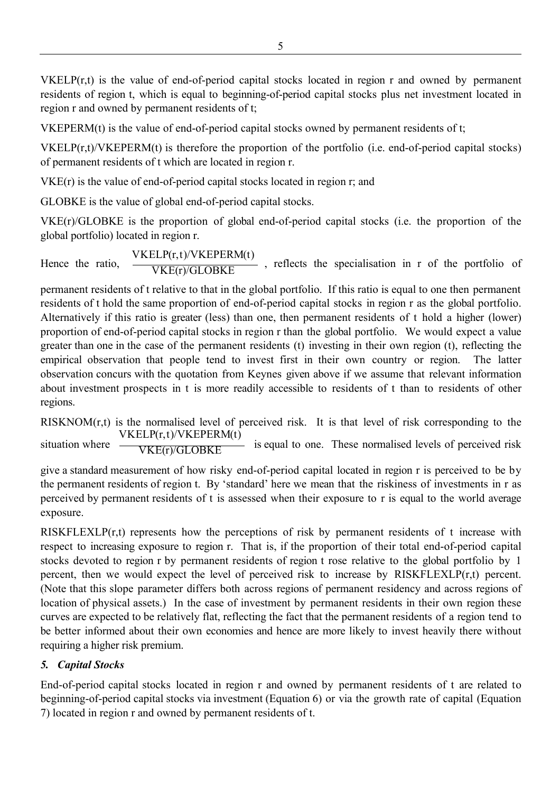VKELP(r,t) is the value of end-of-period capital stocks located in region r and owned by permanent residents of region t, which is equal to beginning-of-period capital stocks plus net investment located in region r and owned by permanent residents of t;

VKEPERM(t) is the value of end-of-period capital stocks owned by permanent residents of t;

VKELP(r,t)/VKEPERM(t) is therefore the proportion of the portfolio (i.e. end-of-period capital stocks) of permanent residents of t which are located in region r.

VKE(r) is the value of end-of-period capital stocks located in region r; and

GLOBKE is the value of global end-of-period capital stocks.

VKE(r)/GLOBKE is the proportion of global end-of-period capital stocks (i.e. the proportion of the global portfolio) located in region r.

Hence the ratio,  $\frac{\text{VKELP}(r,t)/\text{VKEPERM}(t)}{\text{VKE}(r)/\text{GLOBKE}}$  $\cdot$ , reflects the specialisation in r of the portfolio of

permanent residents of t relative to that in the global portfolio. If this ratio is equal to one then permanent residents of t hold the same proportion of end-of-period capital stocks in region r as the global portfolio. Alternatively if this ratio is greater (less) than one, then permanent residents of t hold a higher (lower) proportion of end-of-period capital stocks in region r than the global portfolio. We would expect a value greater than one in the case of the permanent residents (t) investing in their own region (t), reflecting the empirical observation that people tend to invest first in their own country or region. The latter observation concurs with the quotation from Keynes given above if we assume that relevant information about investment prospects in t is more readily accessible to residents of t than to residents of other regions.

RISKNOM(r,t) is the normalised level of perceived risk. It is that level of risk corresponding to the situation where  $-\frac{\sqrt{K E(r)/GLOBKE}}{VKE(r)/GLOBKE}$ VKELP(r,t)/VKEPERM(t) is equal to one. These normalised levels of perceived risk

give a standard measurement of how risky end-of-period capital located in region r is perceived to be by the permanent residents of region t. By 'standard' here we mean that the riskiness of investments in r as perceived by permanent residents of t is assessed when their exposure to r is equal to the world average exposure.

RISKFLEXLP $(r,t)$  represents how the perceptions of risk by permanent residents of t increase with respect to increasing exposure to region r. That is, if the proportion of their total end-of-period capital stocks devoted to region r by permanent residents of region t rose relative to the global portfolio by 1 percent, then we would expect the level of perceived risk to increase by RISKFLEXLP(r,t) percent. (Note that this slope parameter differs both across regions of permanent residency and across regions of location of physical assets.) In the case of investment by permanent residents in their own region these curves are expected to be relatively flat, reflecting the fact that the permanent residents of a region tend to be better informed about their own economies and hence are more likely to invest heavily there without requiring a higher risk premium.

# *5. Capital Stocks*

End-of-period capital stocks located in region r and owned by permanent residents of t are related to beginning-of-period capital stocks via investment (Equation 6) or via the growth rate of capital (Equation 7) located in region r and owned by permanent residents of t.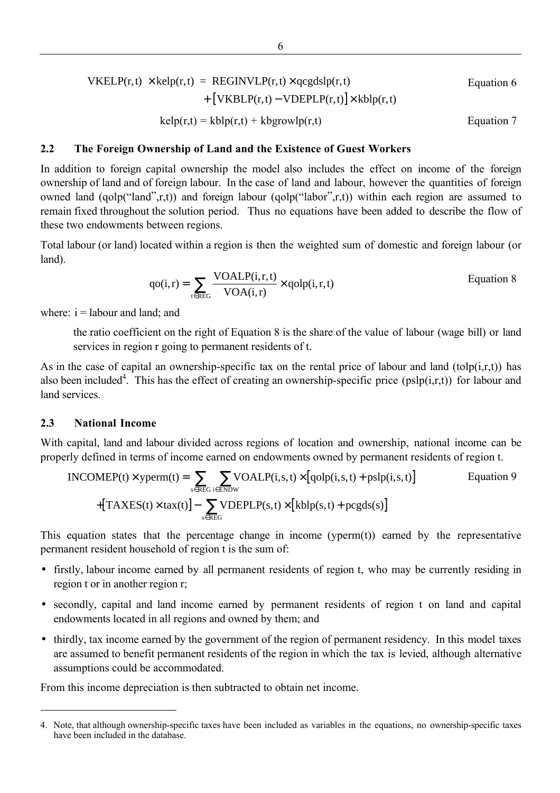$$
VKELP(r, t) \times \text{kelp}(r, t) = \text{REGINVLP}(r, t) \times \text{qcgdslp}(r, t)
$$

\nEquation 6

\n
$$
+ \left[ VKBLP(r, t) - VDEPLP(r, t) \right] \times \text{klp}(r, t)
$$

\nEquation 7

\nEquation 7

#### **2.2 The Foreign Ownership of Land and the Existence of Guest Workers**

In addition to foreign capital ownership the model also includes the effect on income of the foreign ownership of land and of foreign labour. In the case of land and labour, however the quantities of foreign owned land (qolp("land",r,t)) and foreign labour (qolp("labor",r,t)) within each region are assumed to remain fixed throughout the solution period. Thus no equations have been added to describe the flow of these two endowments between regions.

Total labour (or land) located within a region is then the weighted sum of domestic and foreign labour (or land).

$$
qo(i,r) = \sum_{t \in REG} \frac{VOALP(i,r,t)}{VOA(i,r)} \times qolp(i,r,t)
$$
 Equation 8

where:  $i =$  labour and land; and

the ratio coefficient on the right of Equation 8 is the share of the value of labour (wage bill) or land services in region r going to permanent residents of t.

As in the case of capital an ownership-specific tax on the rental price of labour and land (tolp(i,r,t)) has also been included<sup>4</sup>. This has the effect of creating an ownership-specific price ( $pslp(i,r,t)$ ) for labour and land services.

#### **2.3 National Income**

 $\overline{a}$ 

With capital, land and labour divided across regions of location and ownership, national income can be properly defined in terms of income earned on endowments owned by permanent residents of region t.

$$
INCOMEP(t) \times \text{yperm}(t) = \sum_{s \in REG} \sum_{i \in ENDW} \text{VOALP}(i, s, t) \times [qoly(i, s, t) + pslp(i, s, t)]
$$
Equation 9  
+[TAXES(t) \times tax(t)] -  $\sum_{s \in REG} \text{VDEPLP}(s, t) \times [kblp(s, t) + pcgds(s)]$ 

This equation states that the percentage change in income (yperm(t)) earned by the representative permanent resident household of region t is the sum of:

- firstly, labour income earned by all permanent residents of region t, who may be currently residing in region t or in another region r;
- secondly, capital and land income earned by permanent residents of region t on land and capital endowments located in all regions and owned by them; and
- thirdly, tax income earned by the government of the region of permanent residency. In this model taxes are assumed to benefit permanent residents of the region in which the tax is levied, although alternative assumptions could be accommodated.

From this income depreciation is then subtracted to obtain net income.

<sup>4.</sup> Note, that although ownership-specific taxes have been included as variables in the equations, no ownership-specific taxes have been included in the database.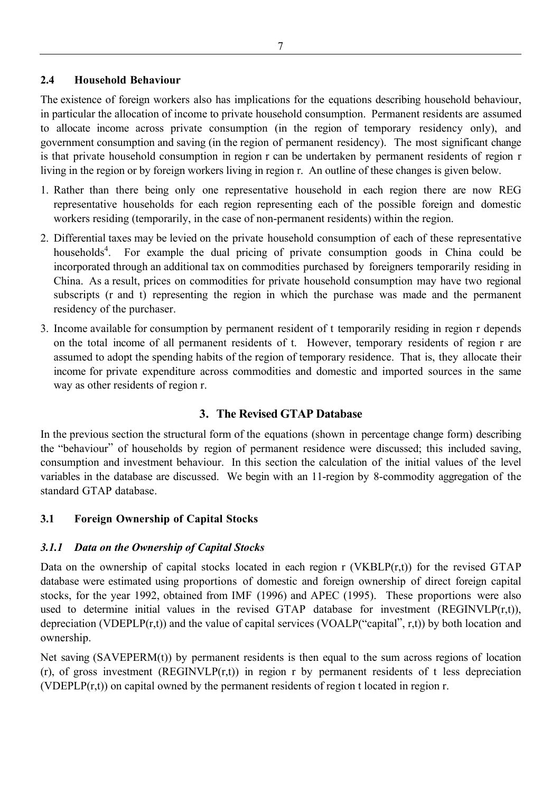#### **2.4 Household Behaviour**

The existence of foreign workers also has implications for the equations describing household behaviour, in particular the allocation of income to private household consumption. Permanent residents are assumed to allocate income across private consumption (in the region of temporary residency only), and government consumption and saving (in the region of permanent residency). The most significant change is that private household consumption in region r can be undertaken by permanent residents of region r living in the region or by foreign workers living in region r. An outline of these changes is given below.

- 1. Rather than there being only one representative household in each region there are now REG representative households for each region representing each of the possible foreign and domestic workers residing (temporarily, in the case of non-permanent residents) within the region.
- 2. Differential taxes may be levied on the private household consumption of each of these representative households<sup>4</sup>. For example the dual pricing of private consumption goods in China could be incorporated through an additional tax on commodities purchased by foreigners temporarily residing in China. As a result, prices on commodities for private household consumption may have two regional subscripts (r and t) representing the region in which the purchase was made and the permanent residency of the purchaser.
- 3. Income available for consumption by permanent resident of t temporarily residing in region r depends on the total income of all permanent residents of t. However, temporary residents of region r are assumed to adopt the spending habits of the region of temporary residence. That is, they allocate their income for private expenditure across commodities and domestic and imported sources in the same way as other residents of region r.

# **3. The Revised GTAP Database**

In the previous section the structural form of the equations (shown in percentage change form) describing the "behaviour" of households by region of permanent residence were discussed; this included saving, consumption and investment behaviour. In this section the calculation of the initial values of the level variables in the database are discussed. We begin with an 11-region by 8-commodity aggregation of the standard GTAP database.

# **3.1 Foreign Ownership of Capital Stocks**

# *3.1.1 Data on the Ownership of Capital Stocks*

Data on the ownership of capital stocks located in each region r (VKBLP $(r,t)$ ) for the revised GTAP database were estimated using proportions of domestic and foreign ownership of direct foreign capital stocks, for the year 1992, obtained from IMF (1996) and APEC (1995). These proportions were also used to determine initial values in the revised GTAP database for investment (REGINVLP $(r,t)$ ), depreciation (VDEPLP(r,t)) and the value of capital services (VOALP("capital", r,t)) by both location and ownership.

Net saving (SAVEPERM(t)) by permanent residents is then equal to the sum across regions of location  $(r)$ , of gross investment (REGINVLP $(r,t)$ ) in region r by permanent residents of t less depreciation (VDEPLP(r,t)) on capital owned by the permanent residents of region t located in region r.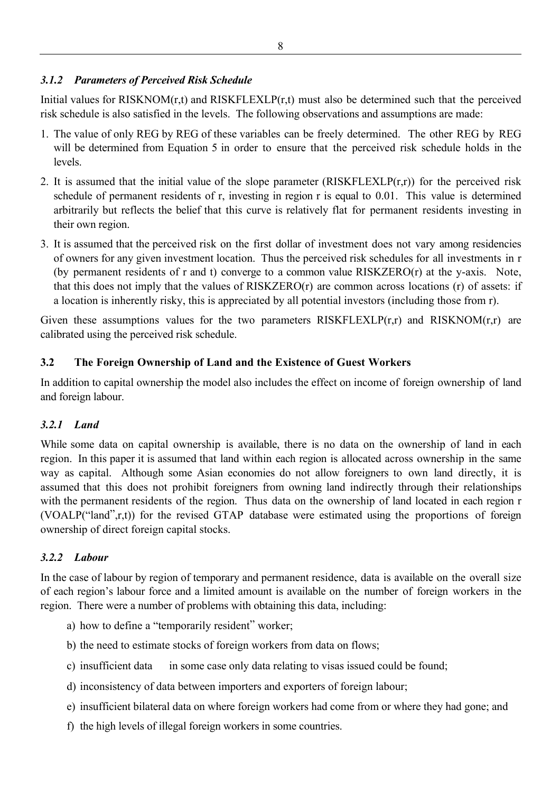#### *3.1.2 Parameters of Perceived Risk Schedule*

Initial values for  $RISKNOM(r,t)$  and  $RISKFLEXLP(r,t)$  must also be determined such that the perceived risk schedule is also satisfied in the levels. The following observations and assumptions are made:

- 1. The value of only REG by REG of these variables can be freely determined. The other REG by REG will be determined from Equation 5 in order to ensure that the perceived risk schedule holds in the levels.
- 2. It is assumed that the initial value of the slope parameter  $(RISKFLEXLP(r,r))$  for the perceived risk schedule of permanent residents of r, investing in region r is equal to 0.01. This value is determined arbitrarily but reflects the belief that this curve is relatively flat for permanent residents investing in their own region.
- 3. It is assumed that the perceived risk on the first dollar of investment does not vary among residencies of owners for any given investment location. Thus the perceived risk schedules for all investments in r (by permanent residents of r and t) converge to a common value RISKZERO(r) at the y-axis. Note, that this does not imply that the values of RISKZERO(r) are common across locations (r) of assets: if a location is inherently risky, this is appreciated by all potential investors (including those from r).

Given these assumptions values for the two parameters RISKFLEXLP(r,r) and RISKNOM(r,r) are calibrated using the perceived risk schedule.

# **3.2 The Foreign Ownership of Land and the Existence of Guest Workers**

In addition to capital ownership the model also includes the effect on income of foreign ownership of land and foreign labour.

# *3.2.1 Land*

While some data on capital ownership is available, there is no data on the ownership of land in each region. In this paper it is assumed that land within each region is allocated across ownership in the same way as capital. Although some Asian economies do not allow foreigners to own land directly, it is assumed that this does not prohibit foreigners from owning land indirectly through their relationships with the permanent residents of the region. Thus data on the ownership of land located in each region r (VOALP("land",r,t)) for the revised GTAP database were estimated using the proportions of foreign ownership of direct foreign capital stocks.

# *3.2.2 Labour*

In the case of labour by region of temporary and permanent residence, data is available on the overall size of each region's labour force and a limited amount is available on the number of foreign workers in the region. There were a number of problems with obtaining this data, including:

- a) how to define a "temporarily resident" worker;
- b) the need to estimate stocks of foreign workers from data on flows;
- c) insufficient data  $\frac{1}{\sqrt{1-\frac{1}{\sqrt{1-\frac{1}{\sqrt{1-\frac{1}{\sqrt{1-\frac{1}{\sqrt{1-\frac{1}{\sqrt{1-\frac{1}{\sqrt{1-\frac{1}{\sqrt{1-\frac{1}{\sqrt{1-\frac{1}{\sqrt{1-\frac{1}{\sqrt{1-\frac{1}{\sqrt{1-\frac{1}{\sqrt{1-\frac{1}{\sqrt{1-\frac{1}{\sqrt{1-\frac{1}{\sqrt{1-\frac{1}{\sqrt{1-\frac{1}{\sqrt{1-\frac{1}{\sqrt{1-\frac{1}{\sqrt{1-\frac{1}{\sqrt{1-\frac{1}{\sqrt{1-\$
- d) inconsistency of data between importers and exporters of foreign labour;
- e) insufficient bilateral data on where foreign workers had come from or where they had gone; and
- f) the high levels of illegal foreign workers in some countries.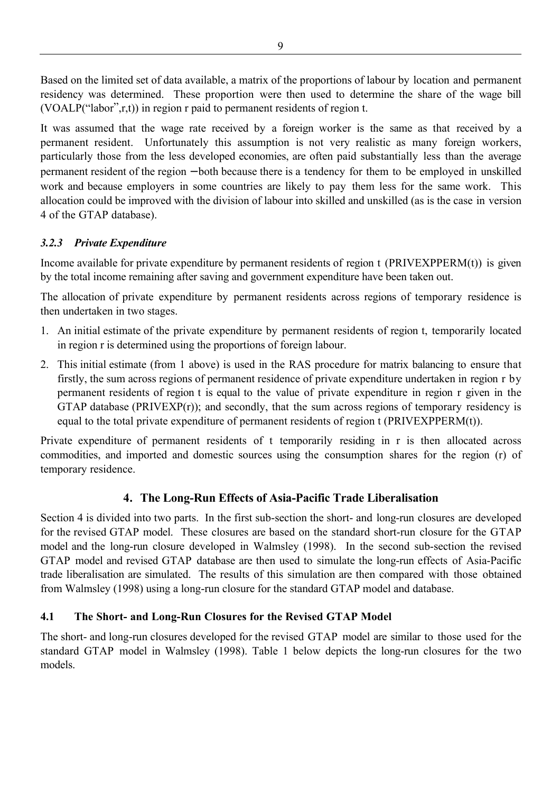Based on the limited set of data available, a matrix of the proportions of labour by location and permanent residency was determined. These proportion were then used to determine the share of the wage bill (VOALP("labor",r,t)) in region r paid to permanent residents of region t.

It was assumed that the wage rate received by a foreign worker is the same as that received by a permanent resident. Unfortunately this assumption is not very realistic as many foreign workers, particularly those from the less developed economies, are often paid substantially less than the average permanent resident of the region − both because there is a tendency for them to be employed in unskilled work and because employers in some countries are likely to pay them less for the same work. This allocation could be improved with the division of labour into skilled and unskilled (as is the case in version 4 of the GTAP database).

# *3.2.3 Private Expenditure*

Income available for private expenditure by permanent residents of region t (PRIVEXPPERM(t)) is given by the total income remaining after saving and government expenditure have been taken out.

The allocation of private expenditure by permanent residents across regions of temporary residence is then undertaken in two stages.

- 1. An initial estimate of the private expenditure by permanent residents of region t, temporarily located in region r is determined using the proportions of foreign labour.
- 2. This initial estimate (from 1 above) is used in the RAS procedure for matrix balancing to ensure that firstly, the sum across regions of permanent residence of private expenditure undertaken in region r by permanent residents of region t is equal to the value of private expenditure in region r given in the GTAP database (PRIVEXP(r)); and secondly, that the sum across regions of temporary residency is equal to the total private expenditure of permanent residents of region t (PRIVEXPPERM(t)).

Private expenditure of permanent residents of t temporarily residing in r is then allocated across commodities, and imported and domestic sources using the consumption shares for the region (r) of temporary residence.

# **4. The Long-Run Effects of Asia-Pacific Trade Liberalisation**

Section 4 is divided into two parts. In the first sub-section the short- and long-run closures are developed for the revised GTAP model. These closures are based on the standard short-run closure for the GTAP model and the long-run closure developed in Walmsley (1998). In the second sub-section the revised GTAP model and revised GTAP database are then used to simulate the long-run effects of Asia-Pacific trade liberalisation are simulated. The results of this simulation are then compared with those obtained from Walmsley (1998) using a long-run closure for the standard GTAP model and database.

# **4.1 The Short- and Long-Run Closures for the Revised GTAP Model**

The short- and long-run closures developed for the revised GTAP model are similar to those used for the standard GTAP model in Walmsley (1998). Table 1 below depicts the long-run closures for the two models.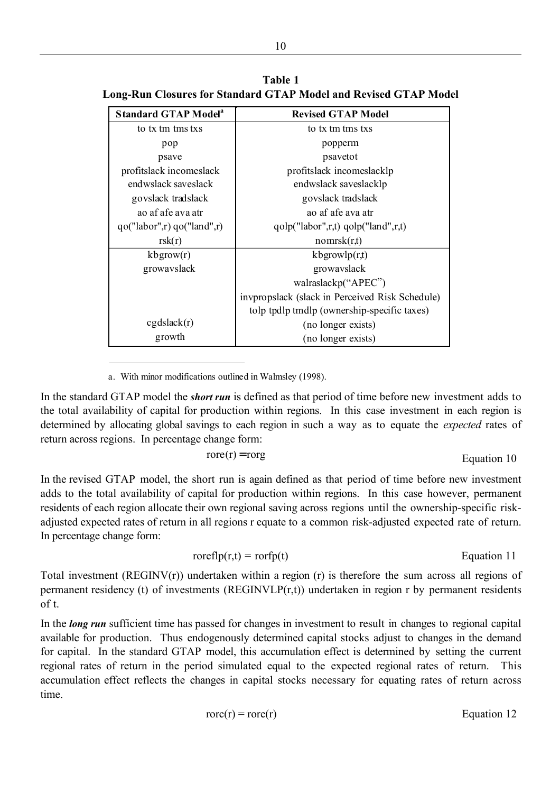| <b>Standard GTAP Model<sup>a</sup></b> | <b>Revised GTAP Model</b>                       |
|----------------------------------------|-------------------------------------------------|
| to tx tm tms txs                       | to tx tm tms txs                                |
| pop                                    | popperm                                         |
| psave                                  | psavetot                                        |
| profitslack incomeslack                | profitslack incomeslacklp                       |
| endwslack saveslack                    | endwslack saveslacklp                           |
| govslack tradslack                     | govslack tradslack                              |
| ao af afe ava atr                      | ao af afe ava atr                               |
| qo("labor", r) qo("land", r)           | $qobj("labor", r, t) qobj("land", r, t)$        |
| rsk(r)                                 | nomrsk(r,t)                                     |
| $k$ bgrow $(r)$                        | $k$ bgrowl $p(r,t)$                             |
| growayslack                            | growayslack                                     |
|                                        | walraslackp("APEC")                             |
|                                        | invpropslack (slack in Perceived Risk Schedule) |
|                                        | tolp tpdlp tmdlp (ownership-specific taxes)     |
| cgdslack(r)                            | (no longer exists)                              |
| growth                                 | (no longer exists)                              |

**Table 1 Long-Run Closures for Standard GTAP Model and Revised GTAP Model**

a. With minor modifications outlined in Walmsley (1998).

j

In the standard GTAP model the *short run* is defined as that period of time before new investment adds to the total availability of capital for production within regions. In this case investment in each region is determined by allocating global savings to each region in such a way as to equate the *expected* rates of return across regions. In percentage change form:

$$
ore(r) = rorg
$$

Equation 10

In the revised GTAP model, the short run is again defined as that period of time before new investment adds to the total availability of capital for production within regions. In this case however, permanent residents of each region allocate their own regional saving across regions until the ownership-specific riskadjusted expected rates of return in all regions r equate to a common risk-adjusted expected rate of return. In percentage change form:

$$
roreflp(r,t) = rorfp(t)
$$
  $Equation 11$ 

Total investment (REGINV(r)) undertaken within a region (r) is therefore the sum across all regions of permanent residency (t) of investments (REGINVLP(r,t)) undertaken in region r by permanent residents of t.

In the *long run* sufficient time has passed for changes in investment to result in changes to regional capital available for production. Thus endogenously determined capital stocks adjust to changes in the demand for capital. In the standard GTAP model, this accumulation effect is determined by setting the current regional rates of return in the period simulated equal to the expected regional rates of return. This accumulation effect reflects the changes in capital stocks necessary for equating rates of return across time.

$$
rac{r}{r} = r
$$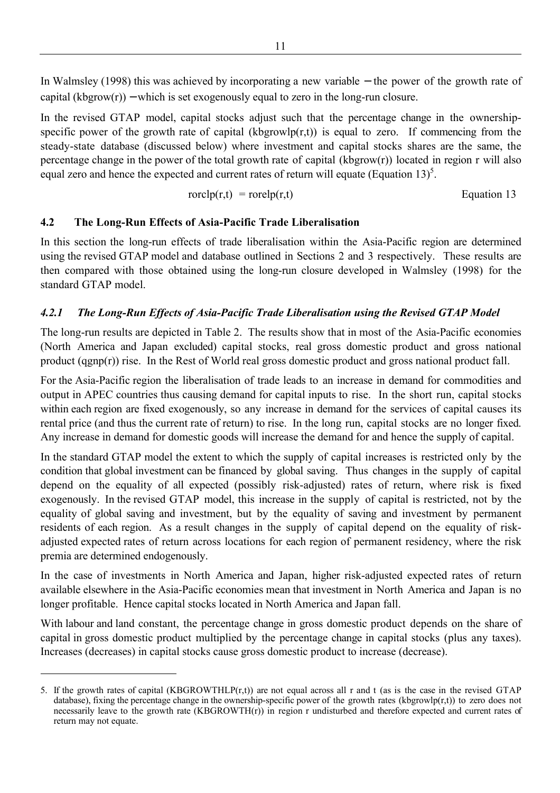In Walmsley (1998) this was achieved by incorporating a new variable − the power of the growth rate of capital  $(kbgrow(r))$  – which is set exogenously equal to zero in the long-run closure.

In the revised GTAP model, capital stocks adjust such that the percentage change in the ownershipspecific power of the growth rate of capital (kbgrowlp( $r,t$ )) is equal to zero. If commencing from the steady-state database (discussed below) where investment and capital stocks shares are the same, the percentage change in the power of the total growth rate of capital (kbgrow(r)) located in region r will also equal zero and hence the expected and current rates of return will equate (Equation 13)<sup>5</sup>.

$$
rorchp(r,t) = rorelp(r,t)
$$
  $Equation 13$ 

#### **4.2 The Long-Run Effects of Asia-Pacific Trade Liberalisation**

In this section the long-run effects of trade liberalisation within the Asia-Pacific region are determined using the revised GTAP model and database outlined in Sections 2 and 3 respectively. These results are then compared with those obtained using the long-run closure developed in Walmsley (1998) for the standard GTAP model.

#### *4.2.1 The Long-Run Effects of Asia-Pacific Trade Liberalisation using the Revised GTAP Model*

The long-run results are depicted in Table 2. The results show that in most of the Asia-Pacific economies (North America and Japan excluded) capital stocks, real gross domestic product and gross national product (qgnp(r)) rise. In the Rest of World real gross domestic product and gross national product fall.

For the Asia-Pacific region the liberalisation of trade leads to an increase in demand for commodities and output in APEC countries thus causing demand for capital inputs to rise. In the short run, capital stocks within each region are fixed exogenously, so any increase in demand for the services of capital causes its rental price (and thus the current rate of return) to rise. In the long run, capital stocks are no longer fixed. Any increase in demand for domestic goods will increase the demand for and hence the supply of capital.

In the standard GTAP model the extent to which the supply of capital increases is restricted only by the condition that global investment can be financed by global saving. Thus changes in the supply of capital depend on the equality of all expected (possibly risk-adjusted) rates of return, where risk is fixed exogenously. In the revised GTAP model, this increase in the supply of capital is restricted, not by the equality of global saving and investment, but by the equality of saving and investment by permanent residents of each region. As a result changes in the supply of capital depend on the equality of riskadjusted expected rates of return across locations for each region of permanent residency, where the risk premia are determined endogenously.

In the case of investments in North America and Japan, higher risk-adjusted expected rates of return available elsewhere in the Asia-Pacific economies mean that investment in North America and Japan is no longer profitable. Hence capital stocks located in North America and Japan fall.

With labour and land constant, the percentage change in gross domestic product depends on the share of capital in gross domestic product multiplied by the percentage change in capital stocks (plus any taxes). Increases (decreases) in capital stocks cause gross domestic product to increase (decrease).

<sup>5.</sup> If the growth rates of capital  $(KBGROWTHLP(r,t))$  are not equal across all r and t (as is the case in the revised GTAP database), fixing the percentage change in the ownership-specific power of the growth rates (kbgrowlp(r,t)) to zero does not necessarily leave to the growth rate (KBGROWTH(r)) in region r undisturbed and therefore expected and current rates of return may not equate.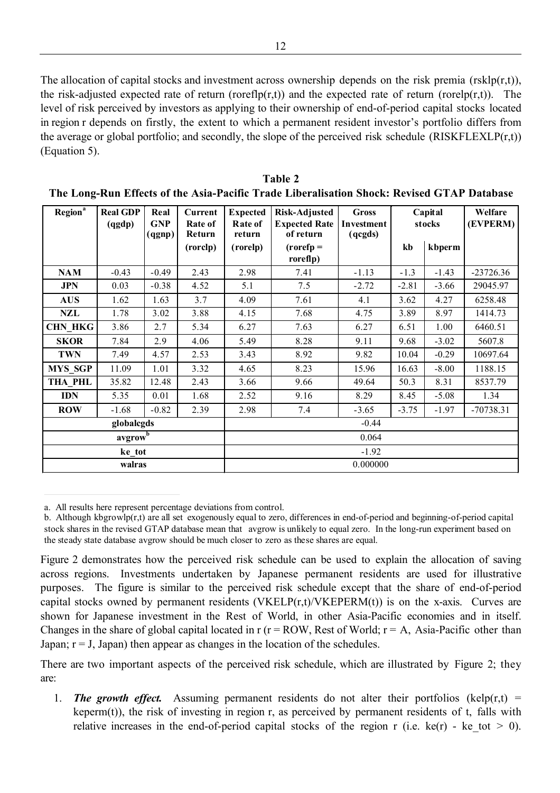The allocation of capital stocks and investment across ownership depends on the risk premia (rsklp(r,t)), the risk-adjusted expected rate of return (roreflp(r,t)) and the expected rate of return (rorelp(r,t)). The level of risk perceived by investors as applying to their ownership of end-of-period capital stocks located in region r depends on firstly, the extent to which a permanent resident investor's portfolio differs from the average or global portfolio; and secondly, the slope of the perceived risk schedule  $(RISKFLEXLP(r,t))$ (Equation 5).

| Region <sup>a</sup> | <b>Real GDP</b><br>(qgdp) | Real<br><b>GNP</b><br>(qgnp) | Current<br>Rate of<br>Return | <b>Expected</b><br>Rate of<br>return | <b>Risk-Adjusted</b><br><b>Expected Rate</b><br>of return | <b>Gross</b><br>Investment<br>(qcgds) | Capital<br>stocks |         | Welfare<br>(EVPERM) |  |
|---------------------|---------------------------|------------------------------|------------------------------|--------------------------------------|-----------------------------------------------------------|---------------------------------------|-------------------|---------|---------------------|--|
|                     |                           |                              | (rorclp)                     | (rorelp)                             | $(rorefp =$<br>roreflp)                                   |                                       | kb                | kbperm  |                     |  |
| <b>NAM</b>          | $-0.43$                   | $-0.49$                      | 2.43                         | 2.98                                 | 7.41                                                      | $-1.13$                               | $-1.3$            | $-1.43$ | $-23726.36$         |  |
| <b>JPN</b>          | 0.03                      | $-0.38$                      | 4.52                         | 5.1                                  | 7.5                                                       | $-2.72$                               | $-2.81$           | $-3.66$ | 29045.97            |  |
| <b>AUS</b>          | 1.62                      | 1.63                         | 3.7                          | 4.09                                 | 7.61                                                      | 4.1                                   | 3.62              | 4.27    | 6258.48             |  |
| <b>NZL</b>          | 1.78                      | 3.02                         | 3.88                         | 4.15                                 | 7.68                                                      | 4.75                                  | 3.89              | 8.97    | 1414.73             |  |
| <b>CHN HKG</b>      | 3.86                      | 2.7                          | 5.34                         | 6.27                                 | 7.63                                                      | 6.27                                  | 6.51              | 1.00    | 6460.51             |  |
| <b>SKOR</b>         | 7.84                      | 2.9                          | 4.06                         | 5.49                                 | 8.28                                                      | 9.11                                  | 9.68              | $-3.02$ | 5607.8              |  |
| <b>TWN</b>          | 7.49                      | 4.57                         | 2.53                         | 3.43                                 | 8.92                                                      | 9.82                                  | 10.04             | $-0.29$ | 10697.64            |  |
| <b>MYS SGP</b>      | 11.09                     | 1.01                         | 3.32                         | 4.65                                 | 8.23                                                      | 15.96                                 | 16.63             | $-8.00$ | 1188.15             |  |
| THA PHL             | 35.82                     | 12.48                        | 2.43                         | 3.66                                 | 9.66                                                      | 49.64                                 | 50.3              | 8.31    | 8537.79             |  |
| <b>IDN</b>          | 5.35                      | 0.01                         | 1.68                         | 2.52                                 | 9.16                                                      | 8.29                                  | 8.45              | $-5.08$ | 1.34                |  |
| <b>ROW</b>          | $-1.68$                   | $-0.82$                      | 2.39                         | 2.98                                 | 7.4                                                       | $-3.65$                               | $-3.75$           | $-1.97$ | $-70738.31$         |  |
|                     | globalcgds                |                              |                              | $-0.44$                              |                                                           |                                       |                   |         |                     |  |
|                     | avgrow                    |                              |                              | 0.064                                |                                                           |                                       |                   |         |                     |  |
|                     | ke tot                    |                              |                              | $-1.92$                              |                                                           |                                       |                   |         |                     |  |
|                     | walras                    |                              |                              | 0.000000                             |                                                           |                                       |                   |         |                     |  |

**Table 2 The Long-Run Effects of the Asia-Pacific Trade Liberalisation Shock: Revised GTAP Database**

a. All results here represent percentage deviations from control.

 $\overline{a}$ 

b. Although kbgrowlp $(r, t)$  are all set exogenously equal to zero, differences in end-of-period and beginning-of-period capital stock shares in the revised GTAP database mean that avgrow is unlikely to equal zero. In the long-run experiment based on the steady state database avgrow should be much closer to zero as these shares are equal.

Figure 2 demonstrates how the perceived risk schedule can be used to explain the allocation of saving across regions. Investments undertaken by Japanese permanent residents are used for illustrative purposes. The figure is similar to the perceived risk schedule except that the share of end-of-period capital stocks owned by permanent residents (VKELP $(r,t)/V$ KEPERM $(t)$ ) is on the x-axis. Curves are shown for Japanese investment in the Rest of World, in other Asia-Pacific economies and in itself. Changes in the share of global capital located in  $r(r = ROW, Rest of World; r = A, Asia-Pacific other than$ Japan;  $r = J$ , Japan) then appear as changes in the location of the schedules.

There are two important aspects of the perceived risk schedule, which are illustrated by Figure 2; they are:

1. **The growth effect.** Assuming permanent residents do not alter their portfolios (kelp(r,t) = keperm(t)), the risk of investing in region r, as perceived by permanent residents of t, falls with relative increases in the end-of-period capital stocks of the region r (i.e. ke(r) - ke tot  $> 0$ ).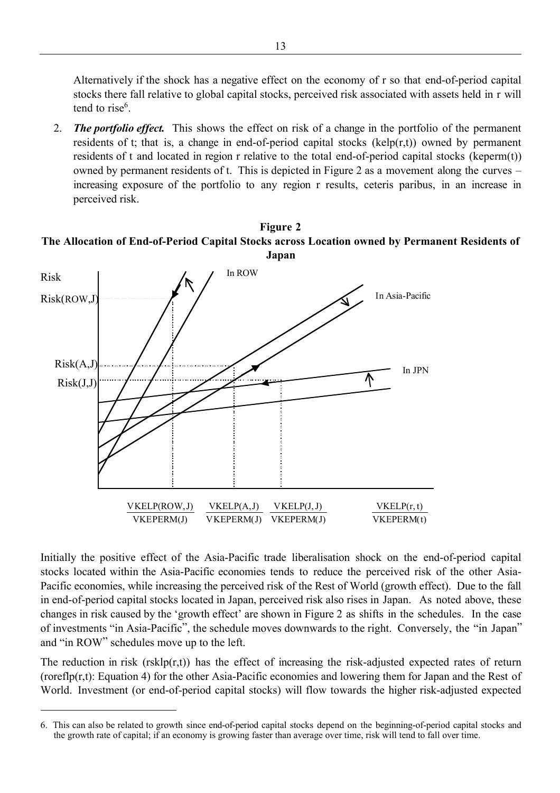Alternatively if the shock has a negative effect on the economy of r so that end-of-period capital stocks there fall relative to global capital stocks, perceived risk associated with assets held in r will tend to rise<sup>6</sup>.

2. *The portfolio effect.* This shows the effect on risk of a change in the portfolio of the permanent residents of t; that is, a change in end-of-period capital stocks (kelp $(r,t)$ ) owned by permanent residents of t and located in region r relative to the total end-of-period capital stocks (keperm(t)) owned by permanent residents of t. This is depicted in Figure 2 as a movement along the curves – increasing exposure of the portfolio to any region r results, ceteris paribus, in an increase in perceived risk.

#### **Figure 2 The Allocation of End-of-Period Capital Stocks across Location owned by Permanent Residents of Japan**



Initially the positive effect of the Asia-Pacific trade liberalisation shock on the end-of-period capital stocks located within the Asia-Pacific economies tends to reduce the perceived risk of the other Asia-Pacific economies, while increasing the perceived risk of the Rest of World (growth effect). Due to the fall in end-of-period capital stocks located in Japan, perceived risk also rises in Japan. As noted above, these changes in risk caused by the 'growth effect' are shown in Figure 2 as shifts in the schedules. In the case of investments "in Asia-Pacific", the schedule moves downwards to the right. Conversely, the "in Japan" and "in ROW" schedules move up to the left.

The reduction in risk ( $r$ skl $p(r,t)$ ) has the effect of increasing the risk-adjusted expected rates of return (roreflp(r,t): Equation 4) for the other Asia-Pacific economies and lowering them for Japan and the Rest of World. Investment (or end-of-period capital stocks) will flow towards the higher risk-adjusted expected

<sup>6.</sup> This can also be related to growth since end-of-period capital stocks depend on the beginning-of-period capital stocks and the growth rate of capital; if an economy is growing faster than average over time, risk will tend to fall over time.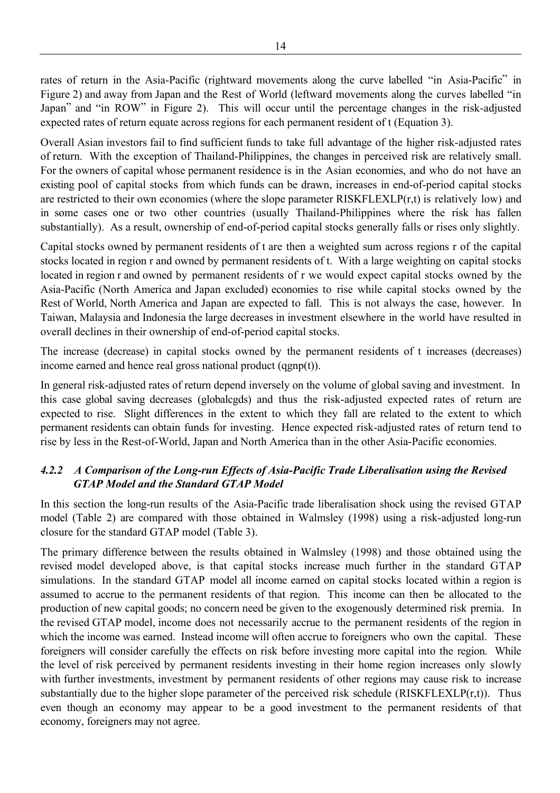rates of return in the Asia-Pacific (rightward movements along the curve labelled "in Asia-Pacific" in Figure 2) and away from Japan and the Rest of World (leftward movements along the curves labelled "in Japan" and "in ROW" in Figure 2). This will occur until the percentage changes in the risk-adjusted expected rates of return equate across regions for each permanent resident of t (Equation 3).

Overall Asian investors fail to find sufficient funds to take full advantage of the higher risk-adjusted rates of return. With the exception of Thailand-Philippines, the changes in perceived risk are relatively small. For the owners of capital whose permanent residence is in the Asian economies, and who do not have an existing pool of capital stocks from which funds can be drawn, increases in end-of-period capital stocks are restricted to their own economies (where the slope parameter RISKFLEXLP(r,t) is relatively low) and in some cases one or two other countries (usually Thailand-Philippines where the risk has fallen substantially). As a result, ownership of end-of-period capital stocks generally falls or rises only slightly.

Capital stocks owned by permanent residents of t are then a weighted sum across regions r of the capital stocks located in region r and owned by permanent residents of t. With a large weighting on capital stocks located in region r and owned by permanent residents of r we would expect capital stocks owned by the Asia-Pacific (North America and Japan excluded) economies to rise while capital stocks owned by the Rest of World, North America and Japan are expected to fall. This is not always the case, however. In Taiwan, Malaysia and Indonesia the large decreases in investment elsewhere in the world have resulted in overall declines in their ownership of end-of-period capital stocks.

The increase (decrease) in capital stocks owned by the permanent residents of t increases (decreases) income earned and hence real gross national product (qgnp(t)).

In general risk-adjusted rates of return depend inversely on the volume of global saving and investment. In this case global saving decreases (globalcgds) and thus the risk-adjusted expected rates of return are expected to rise. Slight differences in the extent to which they fall are related to the extent to which permanent residents can obtain funds for investing. Hence expected risk-adjusted rates of return tend to rise by less in the Rest-of-World, Japan and North America than in the other Asia-Pacific economies.

# *4.2.2 A Comparison of the Long-run Effects of Asia-Pacific Trade Liberalisation using the Revised GTAP Model and the Standard GTAP Model*

In this section the long-run results of the Asia-Pacific trade liberalisation shock using the revised GTAP model (Table 2) are compared with those obtained in Walmsley (1998) using a risk-adjusted long-run closure for the standard GTAP model (Table 3).

The primary difference between the results obtained in Walmsley (1998) and those obtained using the revised model developed above, is that capital stocks increase much further in the standard GTAP simulations. In the standard GTAP model all income earned on capital stocks located within a region is assumed to accrue to the permanent residents of that region. This income can then be allocated to the production of new capital goods; no concern need be given to the exogenously determined risk premia. In the revised GTAP model, income does not necessarily accrue to the permanent residents of the region in which the income was earned. Instead income will often accrue to foreigners who own the capital. These foreigners will consider carefully the effects on risk before investing more capital into the region. While the level of risk perceived by permanent residents investing in their home region increases only slowly with further investments, investment by permanent residents of other regions may cause risk to increase substantially due to the higher slope parameter of the perceived risk schedule (RISKFLEXLP $(r,t)$ ). Thus even though an economy may appear to be a good investment to the permanent residents of that economy, foreigners may not agree.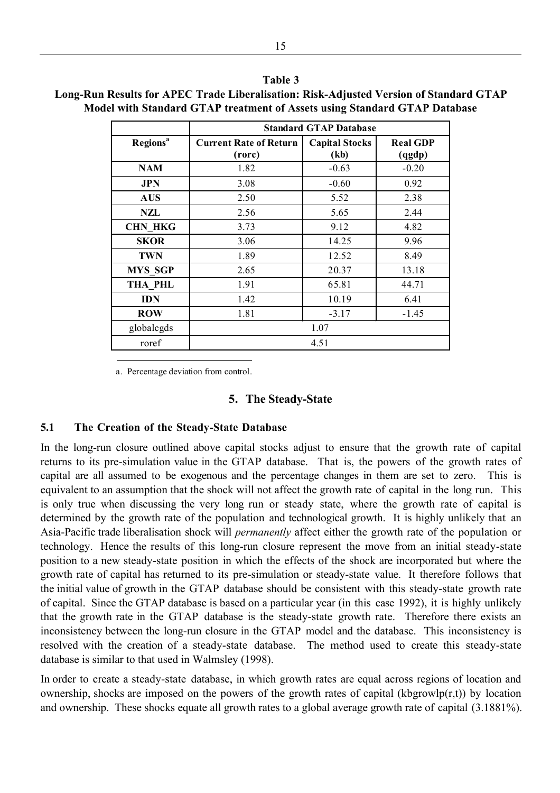|                             | <b>Standard GTAP Database</b>           |                               |                           |  |  |  |  |  |
|-----------------------------|-----------------------------------------|-------------------------------|---------------------------|--|--|--|--|--|
| <b>Regions</b> <sup>a</sup> | <b>Current Rate of Return</b><br>(rorc) | <b>Capital Stocks</b><br>(kb) | <b>Real GDP</b><br>(qgdp) |  |  |  |  |  |
| <b>NAM</b>                  | 1.82                                    | $-0.63$                       | $-0.20$                   |  |  |  |  |  |
| JPN                         | 3.08                                    | $-0.60$                       | 0.92                      |  |  |  |  |  |
| <b>AUS</b>                  | 2.50                                    | 5.52                          | 2.38                      |  |  |  |  |  |
| NZL                         | 2.56                                    | 5.65                          | 2.44                      |  |  |  |  |  |
| <b>CHN HKG</b>              | 3.73                                    | 9.12                          | 4.82                      |  |  |  |  |  |
| <b>SKOR</b>                 | 3.06                                    | 14.25                         | 9.96                      |  |  |  |  |  |
| <b>TWN</b>                  | 1.89                                    | 12.52                         | 8.49                      |  |  |  |  |  |
| <b>MYS SGP</b>              | 2.65                                    | 20.37                         | 13.18                     |  |  |  |  |  |
| THA PHL                     | 1.91                                    | 65.81                         | 44.71                     |  |  |  |  |  |
| <b>IDN</b>                  | 1.42                                    | 10.19                         | 6.41                      |  |  |  |  |  |
| <b>ROW</b>                  | 1.81                                    | $-3.17$                       | $-1.45$                   |  |  |  |  |  |
| globalcgds                  |                                         | 1.07                          |                           |  |  |  |  |  |
| 4.51<br>roref               |                                         |                               |                           |  |  |  |  |  |

**Long-Run Results for APEC Trade Liberalisation: Risk-Adjusted Version of Standard GTAP Model with Standard GTAP treatment of Assets using Standard GTAP Database**

**Table 3**

a. Percentage deviation from control.

#### **5. The Steady-State**

#### **5.1 The Creation of the Steady-State Database**

-

In the long-run closure outlined above capital stocks adjust to ensure that the growth rate of capital returns to its pre-simulation value in the GTAP database. That is, the powers of the growth rates of capital are all assumed to be exogenous and the percentage changes in them are set to zero. This is equivalent to an assumption that the shock will not affect the growth rate of capital in the long run. This is only true when discussing the very long run or steady state, where the growth rate of capital is determined by the growth rate of the population and technological growth. It is highly unlikely that an Asia-Pacific trade liberalisation shock will *permanently* affect either the growth rate of the population or technology. Hence the results of this long-run closure represent the move from an initial steady-state position to a new steady-state position in which the effects of the shock are incorporated but where the growth rate of capital has returned to its pre-simulation or steady-state value. It therefore follows that the initial value of growth in the GTAP database should be consistent with this steady-state growth rate of capital. Since the GTAP database is based on a particular year (in this case 1992), it is highly unlikely that the growth rate in the GTAP database is the steady-state growth rate. Therefore there exists an inconsistency between the long-run closure in the GTAP model and the database. This inconsistency is resolved with the creation of a steady-state database. The method used to create this steady-state database is similar to that used in Walmsley (1998).

In order to create a steady-state database, in which growth rates are equal across regions of location and ownership, shocks are imposed on the powers of the growth rates of capital (kbgrowlp( $r, t$ )) by location and ownership. These shocks equate all growth rates to a global average growth rate of capital (3.1881%).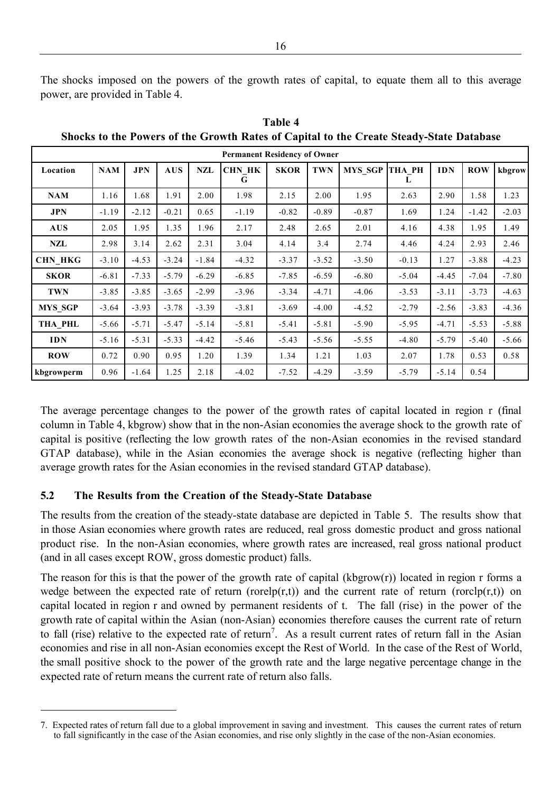The shocks imposed on the powers of the growth rates of capital, to equate them all to this average power, are provided in Table 4.

| <b>Permanent Residency of Owner</b> |            |            |            |         |                    |             |            |                |                    |            |            |         |
|-------------------------------------|------------|------------|------------|---------|--------------------|-------------|------------|----------------|--------------------|------------|------------|---------|
| Location                            | <b>NAM</b> | <b>JPN</b> | <b>AUS</b> | NZL     | <b>CHN HK</b><br>G | <b>SKOR</b> | <b>TWN</b> | <b>MYS SGP</b> | <b>THA PH</b><br>L | <b>IDN</b> | <b>ROW</b> | kbgrow  |
| <b>NAM</b>                          | 1.16       | 1.68       | 1.91       | 2.00    | 1.98               | 2.15        | 2.00       | 1.95           | 2.63               | 2.90       | 1.58       | 1.23    |
| JPN                                 | $-1.19$    | $-2.12$    | $-0.21$    | 0.65    | $-1.19$            | $-0.82$     | $-0.89$    | $-0.87$        | 1.69               | 1.24       | $-1.42$    | $-2.03$ |
| <b>AUS</b>                          | 2.05       | 1.95       | 1.35       | 1.96    | 2.17               | 2.48        | 2.65       | 2.01           | 4.16               | 4.38       | 1.95       | 1.49    |
| NZL                                 | 2.98       | 3.14       | 2.62       | 2.31    | 3.04               | 4.14        | 3.4        | 2.74           | 4.46               | 4.24       | 2.93       | 2.46    |
| <b>CHN HKG</b>                      | $-3.10$    | $-4.53$    | $-3.24$    | $-1.84$ | $-4.32$            | $-3.37$     | $-3.52$    | $-3.50$        | $-0.13$            | 1.27       | $-3.88$    | $-4.23$ |
| <b>SKOR</b>                         | $-6.81$    | $-7.33$    | $-5.79$    | $-6.29$ | $-6.85$            | $-7.85$     | $-6.59$    | $-6.80$        | $-5.04$            | $-4.45$    | $-7.04$    | $-7.80$ |
| <b>TWN</b>                          | $-3.85$    | $-3.85$    | $-3.65$    | $-2.99$ | $-3.96$            | $-3.34$     | $-4.71$    | $-4.06$        | $-3.53$            | $-3.11$    | $-3.73$    | $-4.63$ |
| <b>MYS SGP</b>                      | $-3.64$    | $-3.93$    | $-3.78$    | $-3.39$ | $-3.81$            | $-3.69$     | $-4.00$    | $-4.52$        | $-2.79$            | $-2.56$    | $-3.83$    | $-4.36$ |
| THA PHL                             | $-5.66$    | $-5.71$    | $-5.47$    | $-5.14$ | $-5.81$            | $-5.41$     | $-5.81$    | $-5.90$        | $-5.95$            | $-4.71$    | $-5.53$    | $-5.88$ |
| <b>IDN</b>                          | $-5.16$    | $-5.31$    | $-5.33$    | $-4.42$ | $-5.46$            | $-5.43$     | $-5.56$    | $-5.55$        | $-4.80$            | $-5.79$    | $-5.40$    | $-5.66$ |
| <b>ROW</b>                          | 0.72       | 0.90       | 0.95       | 1.20    | 1.39               | 1.34        | 1.21       | 1.03           | 2.07               | 1.78       | 0.53       | 0.58    |
| kbgrowperm                          | 0.96       | $-1.64$    | 1.25       | 2.18    | $-4.02$            | $-7.52$     | $-4.29$    | $-3.59$        | $-5.79$            | $-5.14$    | 0.54       |         |

**Table 4 Shocks to the Powers of the Growth Rates of Capital to the Create Steady-State Database**

The average percentage changes to the power of the growth rates of capital located in region r (final column in Table 4, kbgrow) show that in the non-Asian economies the average shock to the growth rate of capital is positive (reflecting the low growth rates of the non-Asian economies in the revised standard GTAP database), while in the Asian economies the average shock is negative (reflecting higher than average growth rates for the Asian economies in the revised standard GTAP database).

#### **5.2 The Results from the Creation of the Steady-State Database**

 $\overline{a}$ 

The results from the creation of the steady-state database are depicted in Table 5. The results show that in those Asian economies where growth rates are reduced, real gross domestic product and gross national product rise. In the non-Asian economies, where growth rates are increased, real gross national product (and in all cases except ROW, gross domestic product) falls.

The reason for this is that the power of the growth rate of capital (kbgrow(r)) located in region r forms a wedge between the expected rate of return (rorel $p(r,t)$ ) and the current rate of return (rorcl $p(r,t)$ ) on capital located in region r and owned by permanent residents of t. The fall (rise) in the power of the growth rate of capital within the Asian (non-Asian) economies therefore causes the current rate of return to fall (rise) relative to the expected rate of return<sup>7</sup>. As a result current rates of return fall in the Asian economies and rise in all non-Asian economies except the Rest of World. In the case of the Rest of World, the small positive shock to the power of the growth rate and the large negative percentage change in the expected rate of return means the current rate of return also falls.

<sup>7.</sup> Expected rates of return fall due to a global improvement in saving and investment. This causes the current rates of return to fall significantly in the case of the Asian economies, and rise only slightly in the case of the non-Asian economies.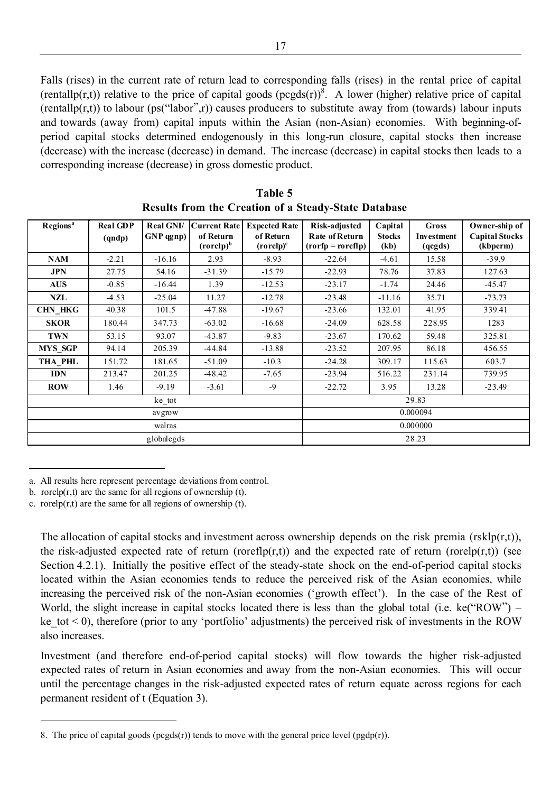Falls (rises) in the current rate of return lead to corresponding falls (rises) in the rental price of capital (rentallp(r,t)) relative to the price of capital goods  $(pegds(r))^8$ . A lower (higher) relative price of capital  $(rentally(r,t))$  to labour  $(ps('labor',r))$  causes producers to substitute away from (towards) labour inputs and towards (away from) capital inputs within the Asian (non-Asian) economies. With beginning-ofperiod capital stocks determined endogenously in this long-run closure, capital stocks then increase (decrease) with the increase (decrease) in demand. The increase (decrease) in capital stocks then leads to a corresponding increase (decrease) in gross domestic product.

| Regions <sup>a</sup> | <b>Real GDP</b><br>(qndp) | Real GNI/<br>GNP qgnp) | <b>Current Rate</b><br><b>Expected Rate</b><br>of Return<br>of Return<br>$(rorelp)^b$<br>$( \text{rorelp})^c$ |          | Risk-adjusted<br><b>Rate of Return</b><br>$( \text{rorfp} = \text{roreflp} )$ | Capital<br><b>Stocks</b><br>(kb) | <b>Gross</b><br>Investment<br>(qcgds) | Owner-ship of<br><b>Capital Stocks</b><br>(kbperm) |
|----------------------|---------------------------|------------------------|---------------------------------------------------------------------------------------------------------------|----------|-------------------------------------------------------------------------------|----------------------------------|---------------------------------------|----------------------------------------------------|
| <b>NAM</b>           | $-2.21$                   | $-16.16$               | 2.93                                                                                                          | $-8.93$  | $-22.64$                                                                      | $-4.61$                          | 15.58                                 | $-39.9$                                            |
| <b>JPN</b>           | 27.75                     | 54.16                  | $-31.39$                                                                                                      | $-15.79$ | $-22.93$                                                                      | 78.76                            | 37.83                                 | 127.63                                             |
| <b>AUS</b>           | $-0.85$                   | $-16.44$               | 1.39                                                                                                          | $-12.53$ | $-23.17$                                                                      | $-1.74$                          | 24.46                                 | $-45.47$                                           |
| NZL                  | $-4.53$                   | $-25.04$               | 11.27                                                                                                         | $-12.78$ | $-23.48$                                                                      | $-11.16$                         | 35.71                                 | $-73.73$                                           |
| <b>CHN HKG</b>       | 40.38                     | 101.5                  | $-47.88$                                                                                                      | $-19.67$ | $-23.66$                                                                      | 132.01                           | 41.95                                 | 339.41                                             |
| <b>SKOR</b>          | 180.44                    | 347.73                 | $-63.02$                                                                                                      | $-16.68$ | $-24.09$                                                                      | 628.58                           | 228.95                                | 1283                                               |
| <b>TWN</b>           | 53.15                     | 93.07                  | $-43.87$                                                                                                      | $-9.83$  | $-23.67$                                                                      | 170.62                           | 59.48                                 | 325.81                                             |
| <b>MYS SGP</b>       | 94.14                     | 205.39                 | $-44.84$                                                                                                      | $-13.88$ | $-23.52$                                                                      | 207.95                           | 86.18                                 | 456.55                                             |
| <b>THA_PHL</b>       | 151.72<br>181.65          |                        | $-51.09$                                                                                                      | $-10.3$  | $-24.28$                                                                      | 309.17                           | 115.63                                | 603.7                                              |
| <b>IDN</b>           | 213.47                    | 201.25                 | $-48.42$                                                                                                      | $-7.65$  | $-23.94$                                                                      | 516.22                           | 231.14                                | 739.95                                             |
| <b>ROW</b>           | 1.46                      | $-9.19$                | $-3.61$                                                                                                       | $-9$     | $-22.72$                                                                      | 3.95                             | 13.28                                 | $-23.49$                                           |
|                      |                           | ke_tot                 |                                                                                                               |          | 29.83                                                                         |                                  |                                       |                                                    |
|                      |                           | avgrow                 |                                                                                                               |          |                                                                               |                                  | 0.000094                              |                                                    |
|                      |                           | walras                 |                                                                                                               |          | 0.000000                                                                      |                                  |                                       |                                                    |
|                      |                           | globalcgds             |                                                                                                               |          |                                                                               |                                  | 28.23                                 |                                                    |

**Table 5 Results from the Creation of a Steady-State Database**

l

 $\overline{a}$ 

The allocation of capital stocks and investment across ownership depends on the risk premia (rsklp(r,t)), the risk-adjusted expected rate of return (roreflp(r,t)) and the expected rate of return (rorelp(r,t)) (see Section 4.2.1). Initially the positive effect of the steady-state shock on the end-of-period capital stocks located within the Asian economies tends to reduce the perceived risk of the Asian economies, while increasing the perceived risk of the non-Asian economies ('growth effect'). In the case of the Rest of World, the slight increase in capital stocks located there is less than the global total (i.e. ke("ROW") – ke tot  $\leq$  0), therefore (prior to any 'portfolio' adjustments) the perceived risk of investments in the ROW also increases.

Investment (and therefore end-of-period capital stocks) will flow towards the higher risk-adjusted expected rates of return in Asian economies and away from the non-Asian economies. This will occur until the percentage changes in the risk-adjusted expected rates of return equate across regions for each permanent resident of t (Equation 3).

a. All results here represent percentage deviations from control.

b. rorcl $p(r,t)$  are the same for all regions of ownership (t).

c. rorel $p(r,t)$  are the same for all regions of ownership (t).

<sup>8.</sup> The price of capital goods ( $pegds(r)$ ) tends to move with the general price level  $(pgdp(r))$ .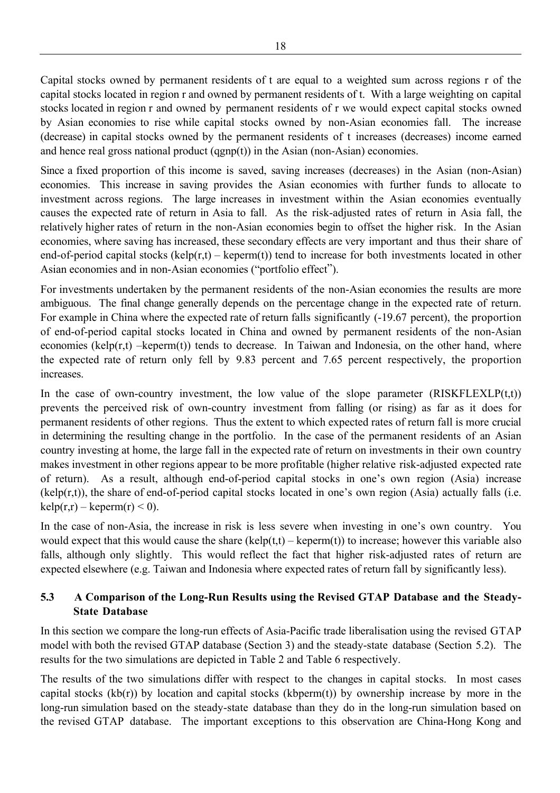Capital stocks owned by permanent residents of t are equal to a weighted sum across regions r of the capital stocks located in region r and owned by permanent residents of t. With a large weighting on capital stocks located in region r and owned by permanent residents of r we would expect capital stocks owned by Asian economies to rise while capital stocks owned by non-Asian economies fall. The increase (decrease) in capital stocks owned by the permanent residents of t increases (decreases) income earned and hence real gross national product (qgnp(t)) in the Asian (non-Asian) economies.

Since a fixed proportion of this income is saved, saving increases (decreases) in the Asian (non-Asian) economies. This increase in saving provides the Asian economies with further funds to allocate to investment across regions. The large increases in investment within the Asian economies eventually causes the expected rate of return in Asia to fall. As the risk-adjusted rates of return in Asia fall, the relatively higher rates of return in the non-Asian economies begin to offset the higher risk. In the Asian economies, where saving has increased, these secondary effects are very important and thus their share of end-of-period capital stocks (kelp(r,t) – keperm(t)) tend to increase for both investments located in other Asian economies and in non-Asian economies ("portfolio effect").

For investments undertaken by the permanent residents of the non-Asian economies the results are more ambiguous. The final change generally depends on the percentage change in the expected rate of return. For example in China where the expected rate of return falls significantly (-19.67 percent), the proportion of end-of-period capital stocks located in China and owned by permanent residents of the non-Asian economies ( $\text{kelp}(r,t)$  – $\text{keperm}(t)$ ) tends to decrease. In Taiwan and Indonesia, on the other hand, where the expected rate of return only fell by 9.83 percent and 7.65 percent respectively, the proportion increases.

In the case of own-country investment, the low value of the slope parameter  $(RISKFLEXLP(t,t))$ prevents the perceived risk of own-country investment from falling (or rising) as far as it does for permanent residents of other regions. Thus the extent to which expected rates of return fall is more crucial in determining the resulting change in the portfolio. In the case of the permanent residents of an Asian country investing at home, the large fall in the expected rate of return on investments in their own country makes investment in other regions appear to be more profitable (higher relative risk-adjusted expected rate of return). As a result, although end-of-period capital stocks in one's own region (Asia) increase (kelp(r,t)), the share of end-of-period capital stocks located in one's own region (Asia) actually falls (i.e.  $kelp(r,r) - keperm(r) < 0$ ).

In the case of non-Asia, the increase in risk is less severe when investing in one's own country. You would expect that this would cause the share  $(kelp(t,t) - keperm(t))$  to increase; however this variable also falls, although only slightly. This would reflect the fact that higher risk-adjusted rates of return are expected elsewhere (e.g. Taiwan and Indonesia where expected rates of return fall by significantly less).

#### **5.3 A Comparison of the Long-Run Results using the Revised GTAP Database and the Steady-State Database**

In this section we compare the long-run effects of Asia-Pacific trade liberalisation using the revised GTAP model with both the revised GTAP database (Section 3) and the steady-state database (Section 5.2). The results for the two simulations are depicted in Table 2 and Table 6 respectively.

The results of the two simulations differ with respect to the changes in capital stocks. In most cases capital stocks ( $kb(r)$ ) by location and capital stocks ( $kbperm(t)$ ) by ownership increase by more in the long-run simulation based on the steady-state database than they do in the long-run simulation based on the revised GTAP database. The important exceptions to this observation are China-Hong Kong and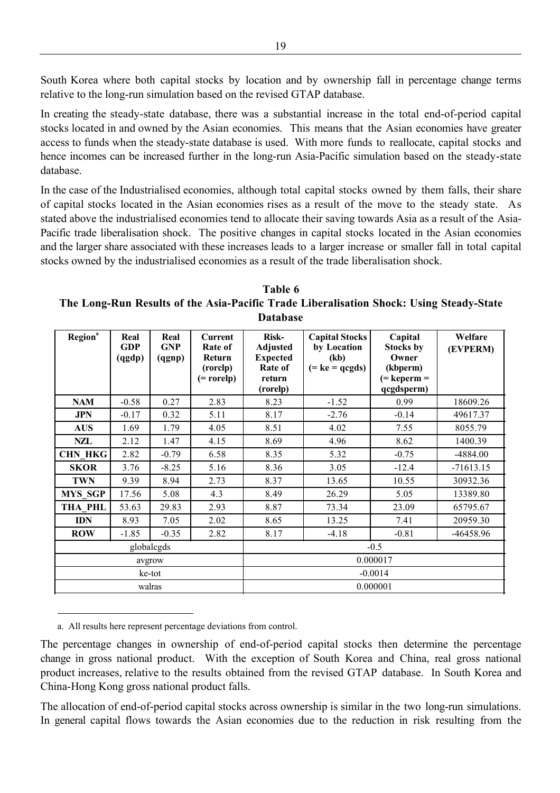South Korea where both capital stocks by location and by ownership fall in percentage change terms relative to the long-run simulation based on the revised GTAP database.

In creating the steady-state database, there was a substantial increase in the total end-of-period capital stocks located in and owned by the Asian economies. This means that the Asian economies have greater access to funds when the steady-state database is used. With more funds to reallocate, capital stocks and hence incomes can be increased further in the long-run Asia-Pacific simulation based on the steady-state database.

In the case of the Industrialised economies, although total capital stocks owned by them falls, their share of capital stocks located in the Asian economies rises as a result of the move to the steady state. As stated above the industrialised economies tend to allocate their saving towards Asia as a result of the Asia-Pacific trade liberalisation shock. The positive changes in capital stocks located in the Asian economies and the larger share associated with these increases leads to a larger increase or smaller fall in total capital stocks owned by the industrialised economies as a result of the trade liberalisation shock.

**Table 6 The Long-Run Results of the Asia-Pacific Trade Liberalisation Shock: Using Steady-State Database**

| Region <sup>a</sup> | Real<br><b>GDP</b><br>(qgdp) | Real<br><b>GNP</b><br>(qgnp) | <b>Current</b><br>Rate of<br>Return<br>(rorclp)<br>(= rorelp) | <b>Risk-</b><br><b>Adjusted</b><br><b>Expected</b><br>Rate of<br>return<br>(rorelp) | <b>Capital Stocks</b><br>by Location<br>(kb)<br>$(= ke = qcgds)$ |         | Welfare<br>(EVPERM) |  |
|---------------------|------------------------------|------------------------------|---------------------------------------------------------------|-------------------------------------------------------------------------------------|------------------------------------------------------------------|---------|---------------------|--|
| <b>NAM</b>          | $-0.58$                      | 0.27                         | 2.83                                                          | 8.23                                                                                | $-1.52$                                                          | 0.99    | 18609.26            |  |
| <b>JPN</b>          | $-0.17$                      | 0.32                         | 5.11                                                          | 8.17                                                                                | $-2.76$                                                          | $-0.14$ | 49617.37            |  |
| <b>AUS</b>          | 1.69                         | 1.79                         | 4.05                                                          | 8.51                                                                                | 4.02                                                             | 7.55    | 8055.79             |  |
| NZL                 | 2.12                         | 1.47                         | 4.15                                                          | 8.69                                                                                | 4.96                                                             | 8.62    | 1400.39             |  |
| <b>CHN HKG</b>      | 2.82                         | $-0.79$                      | 6.58                                                          | 8.35                                                                                | 5.32                                                             | $-0.75$ | $-4884.00$          |  |
| <b>SKOR</b>         | 3.76                         | $-8.25$                      | 5.16                                                          | 8.36                                                                                | 3.05                                                             | $-12.4$ | $-71613.15$         |  |
| <b>TWN</b>          | 9.39                         | 8.94                         | 2.73                                                          | 8.37                                                                                | 13.65                                                            | 10.55   | 30932.36            |  |
| <b>MYS_SGP</b>      | 17.56                        | 5.08                         | 4.3                                                           | 8.49                                                                                | 26.29                                                            | 5.05    | 13389.80            |  |
| THA PHL             | 53.63                        | 29.83                        | 2.93                                                          | 8.87                                                                                | 73.34                                                            | 23.09   | 65795.67            |  |
| <b>IDN</b>          | 8.93                         | 7.05                         | 2.02                                                          | 8.65                                                                                | 13.25                                                            | 7.41    | 20959.30            |  |
| <b>ROW</b>          | $-1.85$                      | $-0.35$                      | 2.82                                                          | 8.17                                                                                | $-4.18$                                                          | $-0.81$ | -46458.96           |  |
|                     |                              | globalcgds                   |                                                               | $-0.5$                                                                              |                                                                  |         |                     |  |
|                     | avgrow                       |                              |                                                               | 0.000017                                                                            |                                                                  |         |                     |  |
|                     |                              | ke-tot                       |                                                               | $-0.0014$                                                                           |                                                                  |         |                     |  |
|                     | walras                       |                              |                                                               | 0.000001                                                                            |                                                                  |         |                     |  |

a. All results here represent percentage deviations from control.

-

The percentage changes in ownership of end-of-period capital stocks then determine the percentage change in gross national product. With the exception of South Korea and China, real gross national product increases, relative to the results obtained from the revised GTAP database. In South Korea and China-Hong Kong gross national product falls.

The allocation of end-of-period capital stocks across ownership is similar in the two long-run simulations. In general capital flows towards the Asian economies due to the reduction in risk resulting from the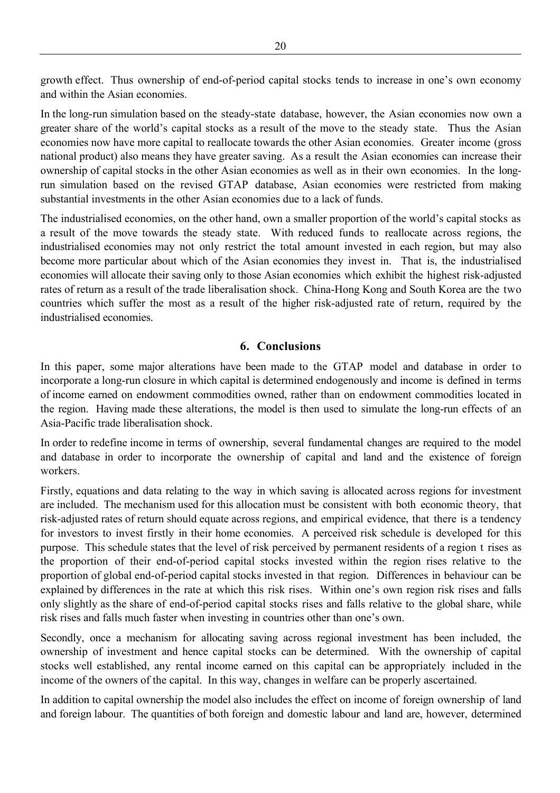growth effect. Thus ownership of end-of-period capital stocks tends to increase in one's own economy and within the Asian economies.

In the long-run simulation based on the steady-state database, however, the Asian economies now own a greater share of the world's capital stocks as a result of the move to the steady state. Thus the Asian economies now have more capital to reallocate towards the other Asian economies. Greater income (gross national product) also means they have greater saving. As a result the Asian economies can increase their ownership of capital stocks in the other Asian economies as well as in their own economies. In the longrun simulation based on the revised GTAP database, Asian economies were restricted from making substantial investments in the other Asian economies due to a lack of funds.

The industrialised economies, on the other hand, own a smaller proportion of the world's capital stocks as a result of the move towards the steady state. With reduced funds to reallocate across regions, the industrialised economies may not only restrict the total amount invested in each region, but may also become more particular about which of the Asian economies they invest in. That is, the industrialised economies will allocate their saving only to those Asian economies which exhibit the highest risk-adjusted rates of return as a result of the trade liberalisation shock. China-Hong Kong and South Korea are the two countries which suffer the most as a result of the higher risk-adjusted rate of return, required by the industrialised economies.

#### **6. Conclusions**

In this paper, some major alterations have been made to the GTAP model and database in order to incorporate a long-run closure in which capital is determined endogenously and income is defined in terms of income earned on endowment commodities owned, rather than on endowment commodities located in the region. Having made these alterations, the model is then used to simulate the long-run effects of an Asia-Pacific trade liberalisation shock.

In order to redefine income in terms of ownership, several fundamental changes are required to the model and database in order to incorporate the ownership of capital and land and the existence of foreign workers.

Firstly, equations and data relating to the way in which saving is allocated across regions for investment are included. The mechanism used for this allocation must be consistent with both economic theory, that risk-adjusted rates of return should equate across regions, and empirical evidence, that there is a tendency for investors to invest firstly in their home economies. A perceived risk schedule is developed for this purpose. This schedule states that the level of risk perceived by permanent residents of a region t rises as the proportion of their end-of-period capital stocks invested within the region rises relative to the proportion of global end-of-period capital stocks invested in that region. Differences in behaviour can be explained by differences in the rate at which this risk rises. Within one's own region risk rises and falls only slightly as the share of end-of-period capital stocks rises and falls relative to the global share, while risk rises and falls much faster when investing in countries other than one's own.

Secondly, once a mechanism for allocating saving across regional investment has been included, the ownership of investment and hence capital stocks can be determined. With the ownership of capital stocks well established, any rental income earned on this capital can be appropriately included in the income of the owners of the capital. In this way, changes in welfare can be properly ascertained.

In addition to capital ownership the model also includes the effect on income of foreign ownership of land and foreign labour. The quantities of both foreign and domestic labour and land are, however, determined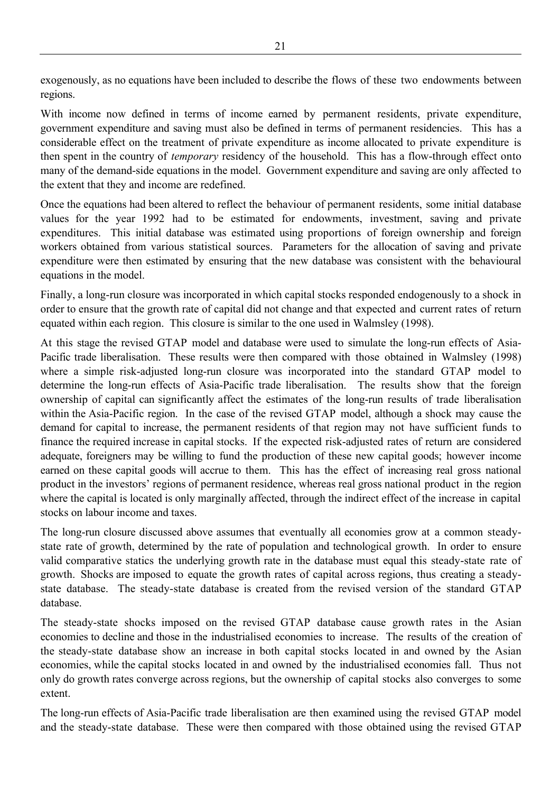exogenously, as no equations have been included to describe the flows of these two endowments between regions.

With income now defined in terms of income earned by permanent residents, private expenditure, government expenditure and saving must also be defined in terms of permanent residencies. This has a considerable effect on the treatment of private expenditure as income allocated to private expenditure is then spent in the country of *temporary* residency of the household. This has a flow-through effect onto many of the demand-side equations in the model. Government expenditure and saving are only affected to the extent that they and income are redefined.

Once the equations had been altered to reflect the behaviour of permanent residents, some initial database values for the year 1992 had to be estimated for endowments, investment, saving and private expenditures. This initial database was estimated using proportions of foreign ownership and foreign workers obtained from various statistical sources. Parameters for the allocation of saving and private expenditure were then estimated by ensuring that the new database was consistent with the behavioural equations in the model.

Finally, a long-run closure was incorporated in which capital stocks responded endogenously to a shock in order to ensure that the growth rate of capital did not change and that expected and current rates of return equated within each region. This closure is similar to the one used in Walmsley (1998).

At this stage the revised GTAP model and database were used to simulate the long-run effects of Asia-Pacific trade liberalisation. These results were then compared with those obtained in Walmsley (1998) where a simple risk-adjusted long-run closure was incorporated into the standard GTAP model to determine the long-run effects of Asia-Pacific trade liberalisation. The results show that the foreign ownership of capital can significantly affect the estimates of the long-run results of trade liberalisation within the Asia-Pacific region. In the case of the revised GTAP model, although a shock may cause the demand for capital to increase, the permanent residents of that region may not have sufficient funds to finance the required increase in capital stocks. If the expected risk-adjusted rates of return are considered adequate, foreigners may be willing to fund the production of these new capital goods; however income earned on these capital goods will accrue to them. This has the effect of increasing real gross national product in the investors' regions of permanent residence, whereas real gross national product in the region where the capital is located is only marginally affected, through the indirect effect of the increase in capital stocks on labour income and taxes.

The long-run closure discussed above assumes that eventually all economies grow at a common steadystate rate of growth, determined by the rate of population and technological growth. In order to ensure valid comparative statics the underlying growth rate in the database must equal this steady-state rate of growth. Shocks are imposed to equate the growth rates of capital across regions, thus creating a steadystate database. The steady-state database is created from the revised version of the standard GTAP database.

The steady-state shocks imposed on the revised GTAP database cause growth rates in the Asian economies to decline and those in the industrialised economies to increase. The results of the creation of the steady-state database show an increase in both capital stocks located in and owned by the Asian economies, while the capital stocks located in and owned by the industrialised economies fall. Thus not only do growth rates converge across regions, but the ownership of capital stocks also converges to some extent.

The long-run effects of Asia-Pacific trade liberalisation are then examined using the revised GTAP model and the steady-state database. These were then compared with those obtained using the revised GTAP